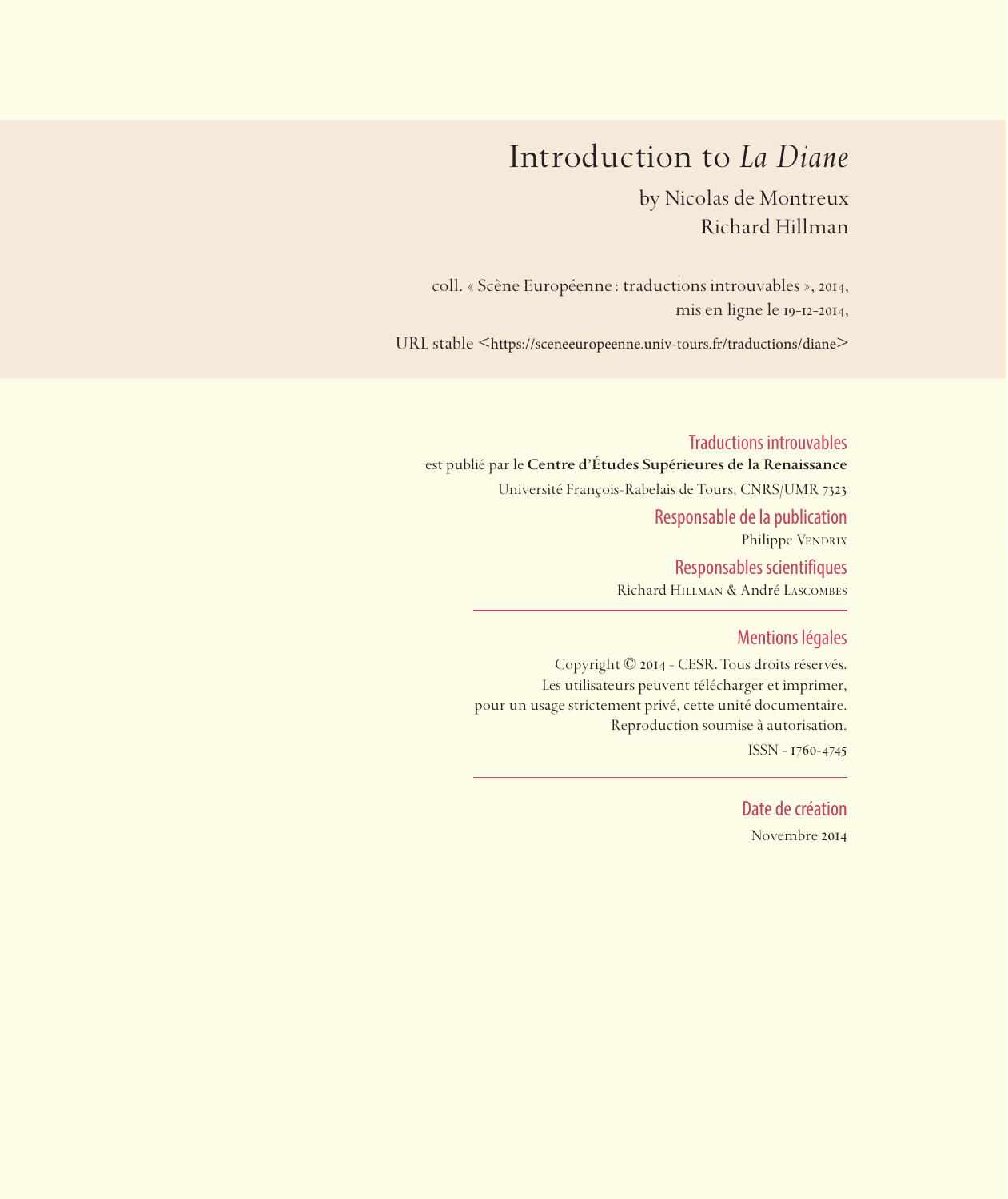## Introduction to *La Diane*

by Nicolas de Montreux Richard Hillman

coll. « Scène Européenne: traductions introuvables », 2014, mis en ligne le 19-12-2014,

URL stable <https://sceneeuropeenne.univ-tours.fr/traductions/diane>

Traductions introuvables est publié par le **Centre d'Études Supérieures de la Renaissance**  Université François-Rabelais de Tours, CNRS/UMR 7323 Responsable de la publication Philippe VENDRIX Responsables scientifiques Richard Hillman & André Lascombes

## Mentions légales

Copyright © 2014 - CESR. Tous droits réservés. Les utilisateurs peuvent télécharger et imprimer, pour un usage strictement privé, cette unité documentaire. Reproduction soumise à autorisation. ISSN - 1760-4745

> Date de création Novembre 2014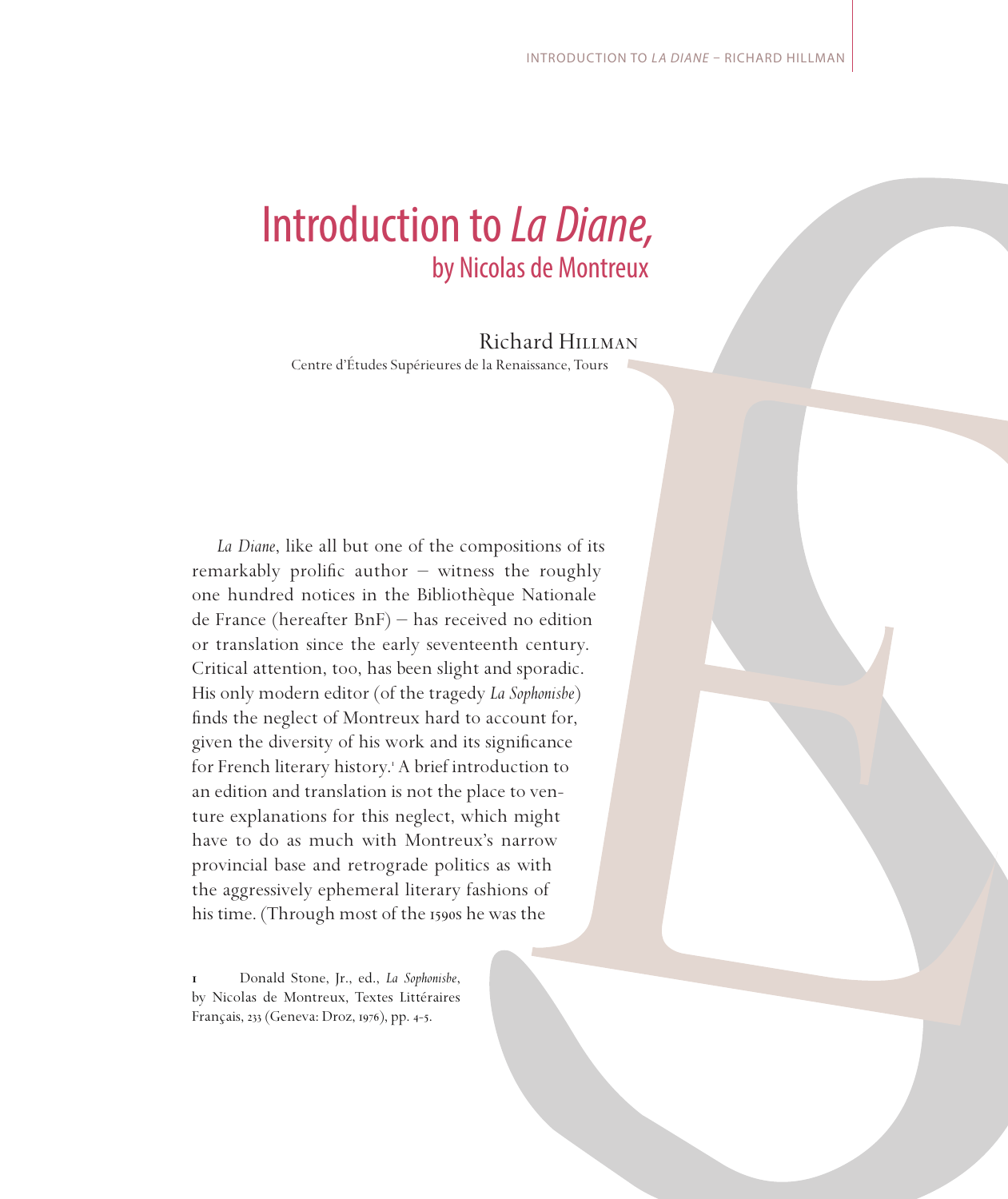# Introduction to *La Diane,*  by Nicolas de Montreux

## Richard Hillman

Centre d'Études Supérieures de la Renaissance, Tours

*La Diane*, like all but one of the compositions of its remarkably prolific author  $-$  witness the roughly one hundred notices in the Bibliothèque Nationale de France (hereafter BnF) – has received no edition or translation since the early seventeenth century. Critical attention, too, has been slight and sporadic. His only modern editor (of the tragedy *La Sophonisbe*) finds the neglect of Montreux hard to account for, given the diversity of his work and its significance for French literary history. A brief introduction to an edition and translation is not the place to venture explanations for this neglect, which might have to do as much with Montreux's narrow provincial base and retrograde politics as with the aggressively ephemeral literary fashions of his time. (Through most of the 1590s he was the

 Donald Stone, Jr., ed., *La Sophonisbe*, by Nicolas de Montreux, Textes Littéraires Français, 233 (Geneva: Droz, 1976), pp. 4-5.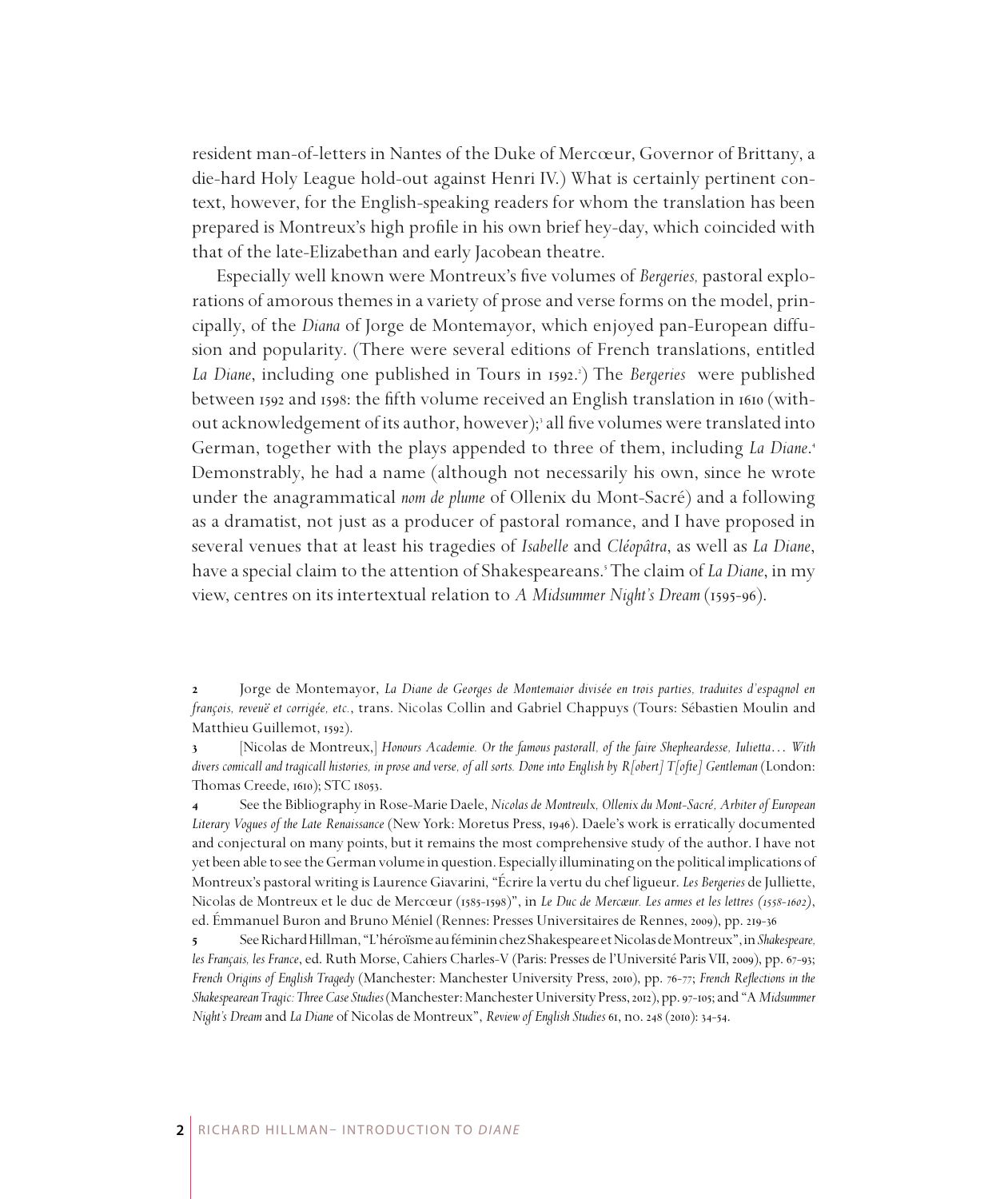resident man-of-letters in Nantes of the Duke of Mercœur, Governor of Brittany, a die-hard Holy League hold-out against Henri IV.) What is certainly pertinent context, however, for the English-speaking readers for whom the translation has been prepared is Montreux's high profile in his own brief hey-day, which coincided with that of the late-Elizabethan and early Jacobean theatre.

Especially well known were Montreux's five volumes of *Bergeries,* pastoral explorations of amorous themes in a variety of prose and verse forms on the model, principally, of the *Diana* of Jorge de Montemayor, which enjoyed pan-European diffusion and popularity. (There were several editions of French translations, entitled *La Diane*, including one published in Tours in 1592. ) The *Bergeries* were published between 1592 and 1598: the fifth volume received an English translation in 1610 (without acknowledgement of its author, however); all five volumes were translated into German, together with the plays appended to three of them, including *La Diane*. Demonstrably, he had a name (although not necessarily his own, since he wrote under the anagrammatical *nom de plume* of Ollenix du Mont-Sacré) and a following as a dramatist, not just as a producer of pastoral romance, and I have proposed in several venues that at least his tragedies of *Isabelle* and *Cléopâtra*, as well as *La Diane*, have a special claim to the attention of Shakespeareans. The claim of *La Diane*, in my view, centres on its intertextual relation to *A Midsummer Night's Dream* (1595-96).

 Jorge de Montemayor, *La Diane de Georges de Montemaior divisée en trois parties, traduites d'espagnol en françois, reveuë et corrigée, etc.*, trans. Nicolas Collin and Gabriel Chappuys (Tours: Sébastien Moulin and Matthieu Guillemot, 1592).

 [Nicolas de Montreux,] *Honours Academie. Or the famous pastorall, of the faire Shepheardesse, Iulietta*… *With divers comicall and tragicall histories, in prose and verse, of all sorts. Done into English by R[obert] T[ofte] Gentleman* (London: Thomas Creede, 1610); STC 18053.

 See the Bibliography in Rose-Marie Daele, *Nicolas de Montreulx, Ollenix du Mont-Sacré, Arbiter of European Literary Vogues of the Late Renaissance* (New York: Moretus Press, 1946). Daele's work is erratically documented and conjectural on many points, but it remains the most comprehensive study of the author. I have not yet been able to see the German volume in question. Especially illuminating on the political implications of Montreux's pastoral writing is Laurence Giavarini, "Écrire la vertu du chef ligueur. *Les Bergeries* de Julliette, Nicolas de Montreux et le duc de Mercœur (1585-1598)", in *Le Duc de Mercœur. Les armes et les lettres (1558-1602)*, ed. Émmanuel Buron and Bruno Méniel (Rennes: Presses Universitaires de Rennes, 2009), pp. 219-36

 See Richard Hillman, "L'héroïsme au féminin chez Shakespeare et Nicolas de Montreux", in *Shakespeare, les Français, les France*, ed. Ruth Morse, Cahiers Charles-V (Paris: Presses de l'Université Paris VII, 2009), pp. 67-93; *French Origins of English Tragedy* (Manchester: Manchester University Press, 2010), pp. 76-77; *French Reflections in the Shakespearean Tragic: Three Case Studies* (Manchester: Manchester University Press, 2012), pp. 97-105; and "A *Midsummer Night's Dream* and *La Diane* of Nicolas de Montreux", *Review of English Studies* 61, no. 248 (2010): 34-54.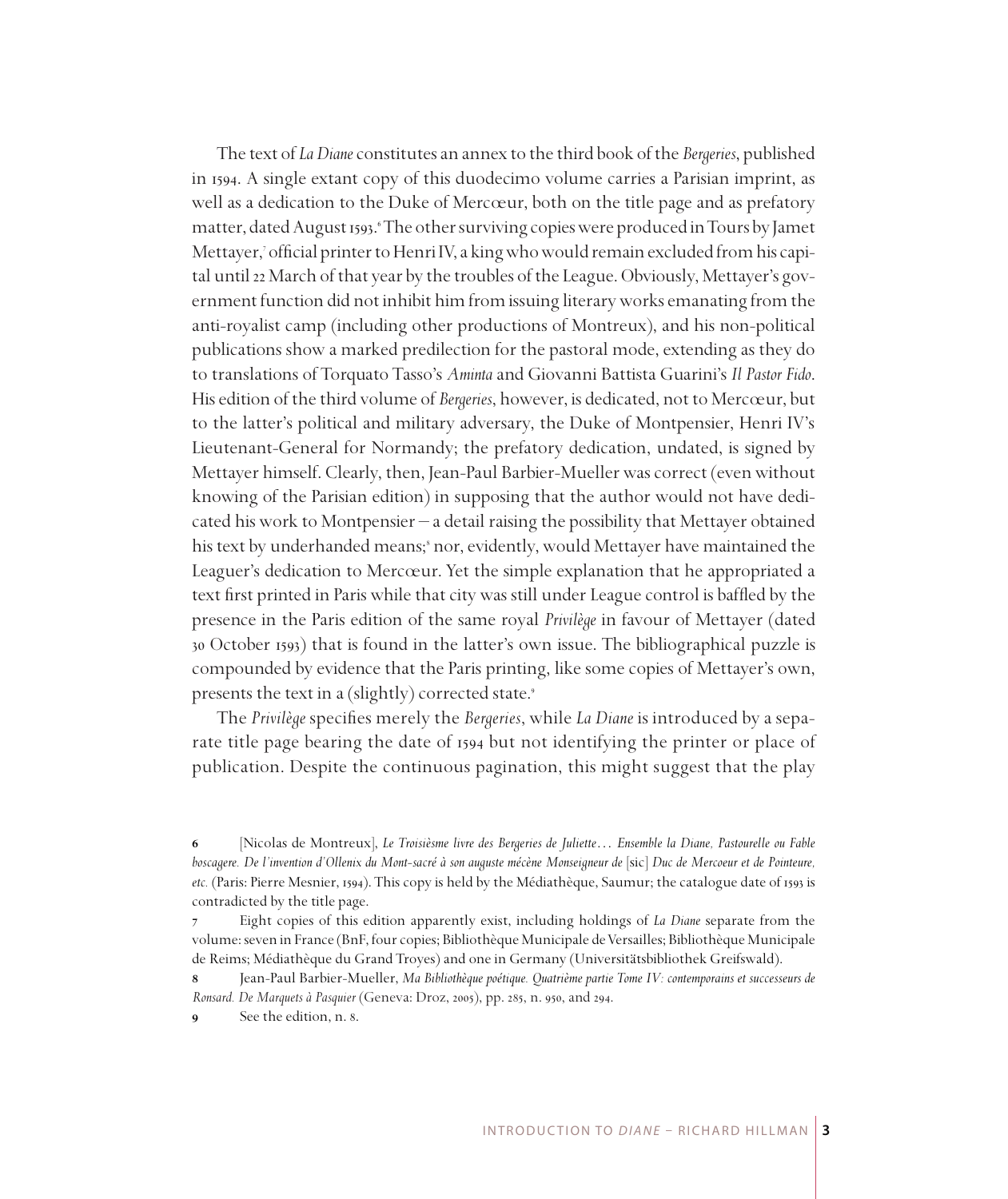The text of *La Diane* constitutes an annex to the third book of the *Bergeries*, published in 1594. A single extant copy of this duodecimo volume carries a Parisian imprint, as well as a dedication to the Duke of Mercœur, both on the title page and as prefatory matter, dated August 1593. 'The other surviving copies were produced in Tours by Jamet Mettayer, official printer to Henri IV, a king who would remain excluded from his capital until 22 March of that year by the troubles of the League. Obviously, Mettayer's government function did not inhibit him from issuing literary works emanating from the anti-royalist camp (including other productions of Montreux), and his non-political publications show a marked predilection for the pastoral mode, extending as they do to translations of Torquato Tasso's *Aminta* and Giovanni Battista Guarini's *Il Pastor Fido*. His edition of the third volume of *Bergeries*, however, is dedicated, not to Mercœur, but to the latter's political and military adversary, the Duke of Montpensier, Henri IV's Lieutenant-General for Normandy; the prefatory dedication, undated, is signed by Mettayer himself. Clearly, then, Jean-Paul Barbier-Mueller was correct (even without knowing of the Parisian edition) in supposing that the author would not have dedicated his work to Montpensier – a detail raising the possibility that Mettayer obtained his text by underhanded means;<sup>8</sup> nor, evidently, would Mettayer have maintained the Leaguer's dedication to Mercœur. Yet the simple explanation that he appropriated a text first printed in Paris while that city was still under League control is baffled by the presence in the Paris edition of the same royal *Privilège* in favour of Mettayer (dated 30 October 1593) that is found in the latter's own issue. The bibliographical puzzle is compounded by evidence that the Paris printing, like some copies of Mettayer's own, presents the text in a (slightly) corrected state.

The *Privilège* specifies merely the *Bergeries*, while *La Diane* is introduced by a separate title page bearing the date of 1594 but not identifying the printer or place of publication. Despite the continuous pagination, this might suggest that the play

 [Nicolas de Montreux], *Le Troisièsme livre des Bergeries de Juliette*… *Ensemble la Diane, Pastourelle ou Fable boscagere. De l'invention d'Ollenix du Mont-sacré à son auguste mécène Monseigneur de* [sic] *Duc de Mercoeur et de Pointeure, etc.* (Paris: Pierre Mesnier, 1594). This copy is held by the Médiathèque, Saumur; the catalogue date of 1593 is contradicted by the title page.

 Eight copies of this edition apparently exist, including holdings of *La Diane* separate from the volume: seven in France (BnF, four copies; Bibliothèque Municipale de Versailles; Bibliothèque Municipale de Reims; Médiathèque du Grand Troyes) and one in Germany (Universitätsbibliothek Greifswald).

 Jean-Paul Barbier-Mueller, *Ma Bibliothèque poétique. Quatrième partie Tome IV: contemporains et successeurs de Ronsard. De Marquets à Pasquier* (Geneva: Droz, 2005), pp. 285, n. 950, and 294.

**<sup>8</sup>** See the edition, n. 8.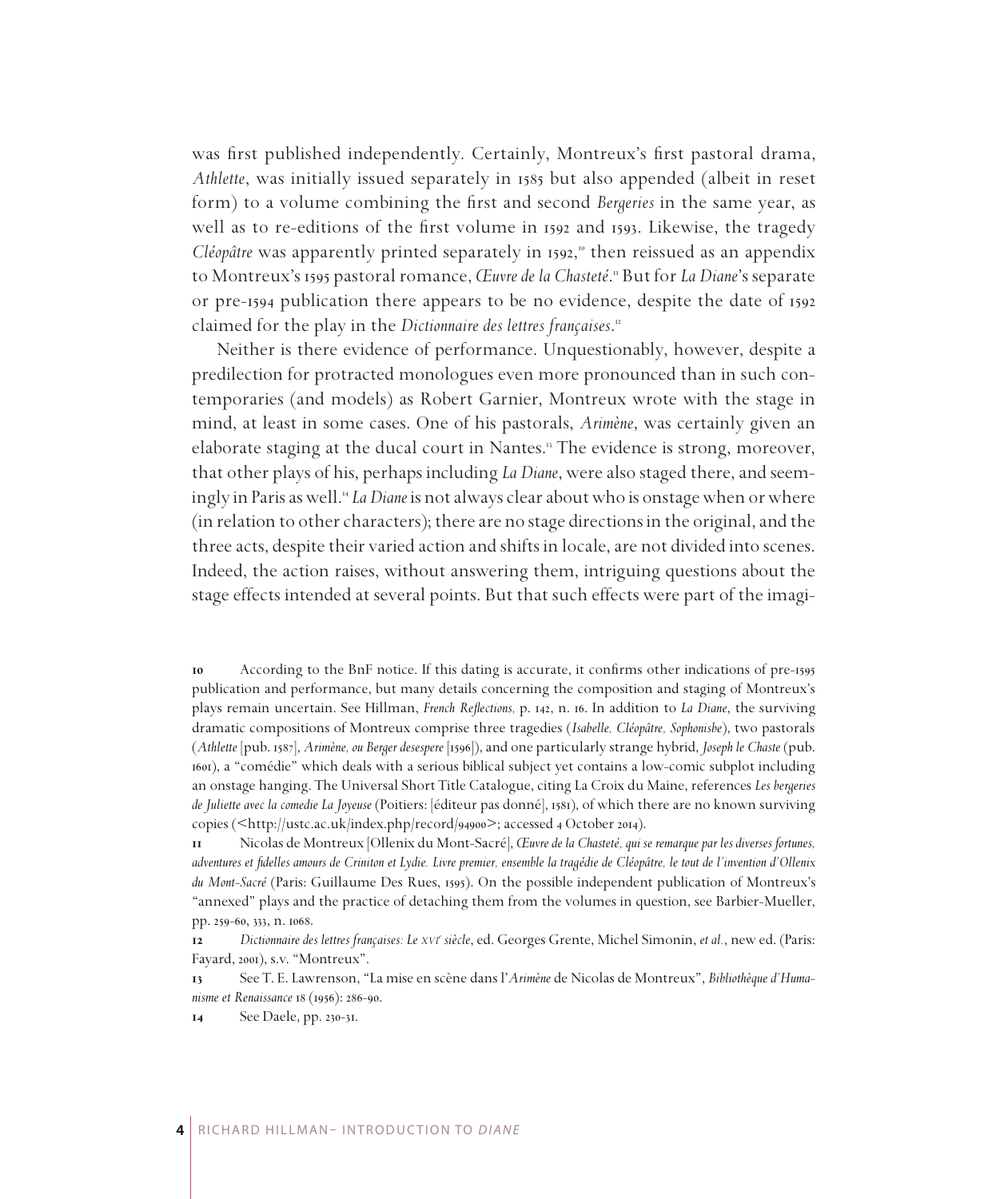was first published independently. Certainly, Montreux's first pastoral drama, *Athlette*, was initially issued separately in 1585 but also appended (albeit in reset form) to a volume combining the first and second *Bergeries* in the same year, as well as to re-editions of the first volume in 1592 and 1593. Likewise, the tragedy *Cléopâtre* was apparently printed separately in 1592, then reissued as an appendix to Montreux's 1595 pastoral romance, *Œuvre de la Chasteté*. But for *La Diane*'s separate or pre-1594 publication there appears to be no evidence, despite the date of 1592 claimed for the play in the *Dictionnaire des lettres françaises*.

Neither is there evidence of performance. Unquestionably, however, despite a predilection for protracted monologues even more pronounced than in such contemporaries (and models) as Robert Garnier, Montreux wrote with the stage in mind, at least in some cases. One of his pastorals, *Arimène*, was certainly given an elaborate staging at the ducal court in Nantes. The evidence is strong, moreover, that other plays of his, perhaps including *La Diane*, were also staged there, and seemingly in Paris as well. *La Diane* is not always clear about who is onstage when or where (in relation to other characters); there are no stage directions in the original, and the three acts, despite their varied action and shifts in locale, are not divided into scenes. Indeed, the action raises, without answering them, intriguing questions about the stage effects intended at several points. But that such effects were part of the imagi-

 According to the BnF notice. If this dating is accurate, it confirms other indications of pre-1595 publication and performance, but many details concerning the composition and staging of Montreux's plays remain uncertain. See Hillman, *French Reflections,* p. 142, n. 16. In addition to *La Diane*, the surviving dramatic compositions of Montreux comprise three tragedies (*Isabelle, Cléopâtre, Sophonisbe*), two pastorals (*Athlette* [pub. 1587], *Arimène, ou Berger desespere* [1596]), and one particularly strange hybrid, *Joseph le Chaste* (pub. 1601), a "comédie" which deals with a serious biblical subject yet contains a low-comic subplot including an onstage hanging. The Universal Short Title Catalogue, citing La Croix du Maine, references *Les bergeries de Juliette avec la comedie La Joyeuse* (Poitiers: [éditeur pas donné], 1581), of which there are no known surviving copies (<http://ustc.ac.uk/index.php/record/94900>; accessed 4 October 2014).

 Nicolas de Montreux [Ollenix du Mont-Sacré], *Œuvre de la Chasteté, qui se remarque par les diverses fortunes, adventures et fidelles amours de Criniton et Lydie. Livre premier, ensemble la tragédie de Cléopâtre, le tout de l'invention d'Ollenix du Mont-Sacré* (Paris: Guillaume Des Rues, 1595). On the possible independent publication of Montreux's "annexed" plays and the practice of detaching them from the volumes in question, see Barbier-Mueller, pp. 259-60, 333, n. 1068.

 *Dictionnaire des lettres françaises: Le xvi<sup>e</sup> siècle*, ed. Georges Grente, Michel Simonin, *et al.*, new ed. (Paris: Fayard, 2001), s.v. "Montreux".

 See T. E. Lawrenson, "La mise en scène dans l'*Arimène* de Nicolas de Montreux", *Bibliothèque d'Humanisme et Renaissance* 18 (1956): 286-90.

See Daele, pp. 230-31.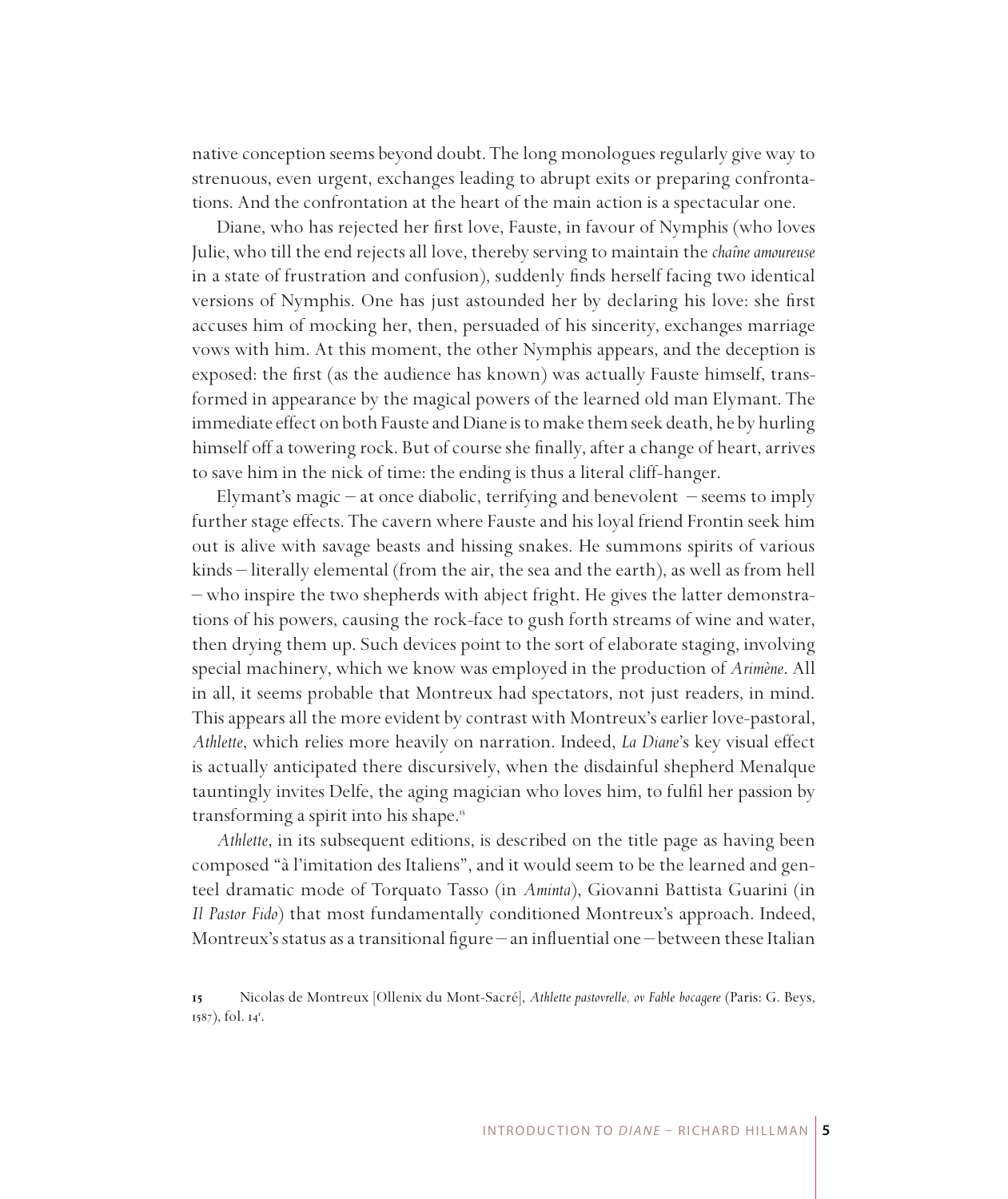native conception seems beyond doubt. The long monologues regularly give way to strenuous, even urgent, exchanges leading to abrupt exits or preparing confrontations. And the confrontation at the heart of the main action is a spectacular one.

Diane, who has rejected her first love, Fauste, in favour of Nymphis (who loves Julie, who till the end rejects all love, thereby serving to maintain the *chaîne amoureuse* in a state of frustration and confusion), suddenly finds herself facing two identical versions of Nymphis. One has just astounded her by declaring his love: she first accuses him of mocking her, then, persuaded of his sincerity, exchanges marriage vows with him. At this moment, the other Nymphis appears, and the deception is exposed: the first (as the audience has known) was actually Fauste himself, transformed in appearance by the magical powers of the learned old man Elymant. The immediate effect on both Fauste and Diane is to make them seek death, he by hurling himself off a towering rock. But of course she finally, after a change of heart, arrives to save him in the nick of time: the ending is thus a literal cliff-hanger.

Elymant's magic – at once diabolic, terrifying and benevolent – seems to imply further stage effects. The cavern where Fauste and his loyal friend Frontin seek him out is alive with savage beasts and hissing snakes. He summons spirits of various kinds – literally elemental (from the air, the sea and the earth), as well as from hell – who inspire the two shepherds with abject fright. He gives the latter demonstrations of his powers, causing the rock-face to gush forth streams of wine and water, then drying them up. Such devices point to the sort of elaborate staging, involving special machinery, which we know was employed in the production of *Arimène*. All in all, it seems probable that Montreux had spectators, not just readers, in mind. This appears all the more evident by contrast with Montreux's earlier love-pastoral, *Athlette*, which relies more heavily on narration. Indeed, *La Diane*'s key visual effect is actually anticipated there discursively, when the disdainful shepherd Menalque tauntingly invites Delfe, the aging magician who loves him, to fulfil her passion by transforming a spirit into his shape.

*Athlette*, in its subsequent editions, is described on the title page as having been composed "à l'imitation des Italiens", and it would seem to be the learned and genteel dramatic mode of Torquato Tasso (in *Aminta*), Giovanni Battista Guarini (in *Il Pastor Fido*) that most fundamentally conditioned Montreux's approach. Indeed, Montreux's status as a transitional figure – an influential one – between these Italian

Nicolas de Montreux [Ollenix du Mont-Sacré], *Athlette pastovrelle, ov Fable bocagere* (Paris: G. Beys, 1587), fol. 14<sup>r</sup>.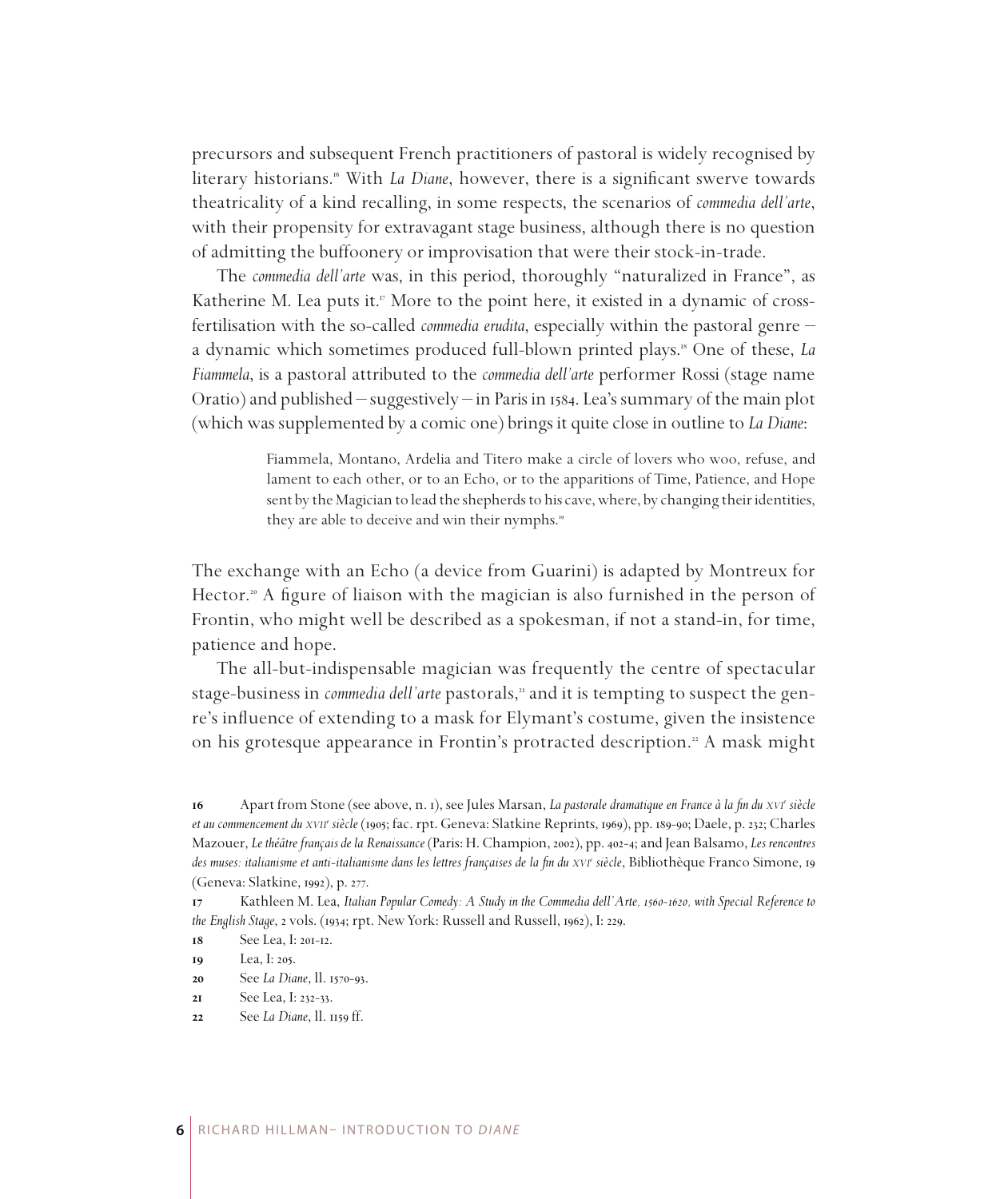precursors and subsequent French practitioners of pastoral is widely recognised by literary historians.<sup>16</sup> With *La Diane*, however, there is a significant swerve towards theatricality of a kind recalling, in some respects, the scenarios of *commedia dell'arte*, with their propensity for extravagant stage business, although there is no question of admitting the buffoonery or improvisation that were their stock-in-trade.

The *commedia dell'arte* was, in this period, thoroughly "naturalized in France", as Katherine M. Lea puts it.<sup>"</sup> More to the point here, it existed in a dynamic of crossfertilisation with the so-called *commedia erudita*, especially within the pastoral genre – a dynamic which sometimes produced full-blown printed plays. One of these, *La Fiammela*, is a pastoral attributed to the *commedia dell'arte* performer Rossi (stage name Oratio) and published – suggestively – in Paris in 1584. Lea's summary of the main plot (which was supplemented by a comic one) brings it quite close in outline to *La Diane*:

> Fiammela, Montano, Ardelia and Titero make a circle of lovers who woo, refuse, and lament to each other, or to an Echo, or to the apparitions of Time, Patience, and Hope sent by the Magician to lead the shepherds to his cave, where, by changing their identities, they are able to deceive and win their nymphs.

The exchange with an Echo (a device from Guarini) is adapted by Montreux for Hector.<sup>20</sup> A figure of liaison with the magician is also furnished in the person of Frontin, who might well be described as a spokesman, if not a stand-in, for time, patience and hope.

The all-but-indispensable magician was frequently the centre of spectacular stage-business in *commedia dell'arte* pastorals," and it is tempting to suspect the genre's influence of extending to a mask for Elymant's costume, given the insistence on his grotesque appearance in Frontin's protracted description.<sup>22</sup> A mask might

See *La Diane*, ll. 1570-93.

Apart from Stone (see above, n. 1), see Jules Marsan, *La pastorale dramatique en France à la fin du xvi<sup>e</sup> siècle et au commencement du xvii<sup>e</sup> siècle* (1905; fac. rpt. Geneva: Slatkine Reprints, 1969), pp. 189-90; Daele, p. 232; Charles Mazouer, *Le théâtre français de la Renaissance* (Paris: H. Champion, 2002), pp. 402-4; and Jean Balsamo, *Les rencontres*  des muses: italianisme et anti-italianisme dans les lettres françaises de la fin du *xvi*<sup>e</sup> siècle, Bibliothèque Franco Simone, 19 (Geneva: Slatkine, 1992), p. 277.

Kathleen M. Lea, *Italian Popular Comedy: A Study in the Commedia dell'Arte, 1560-1620*, with Special Reference to *the English Stage*, 2 vols. (1934; rpt. New York: Russell and Russell, 1962), I: 229.

 $See$  Lea,  $I: 20I-12$ .

Lea, I: 205.

See Lea, I: 232-33.

See *La Diane*, ll. 1159 ff.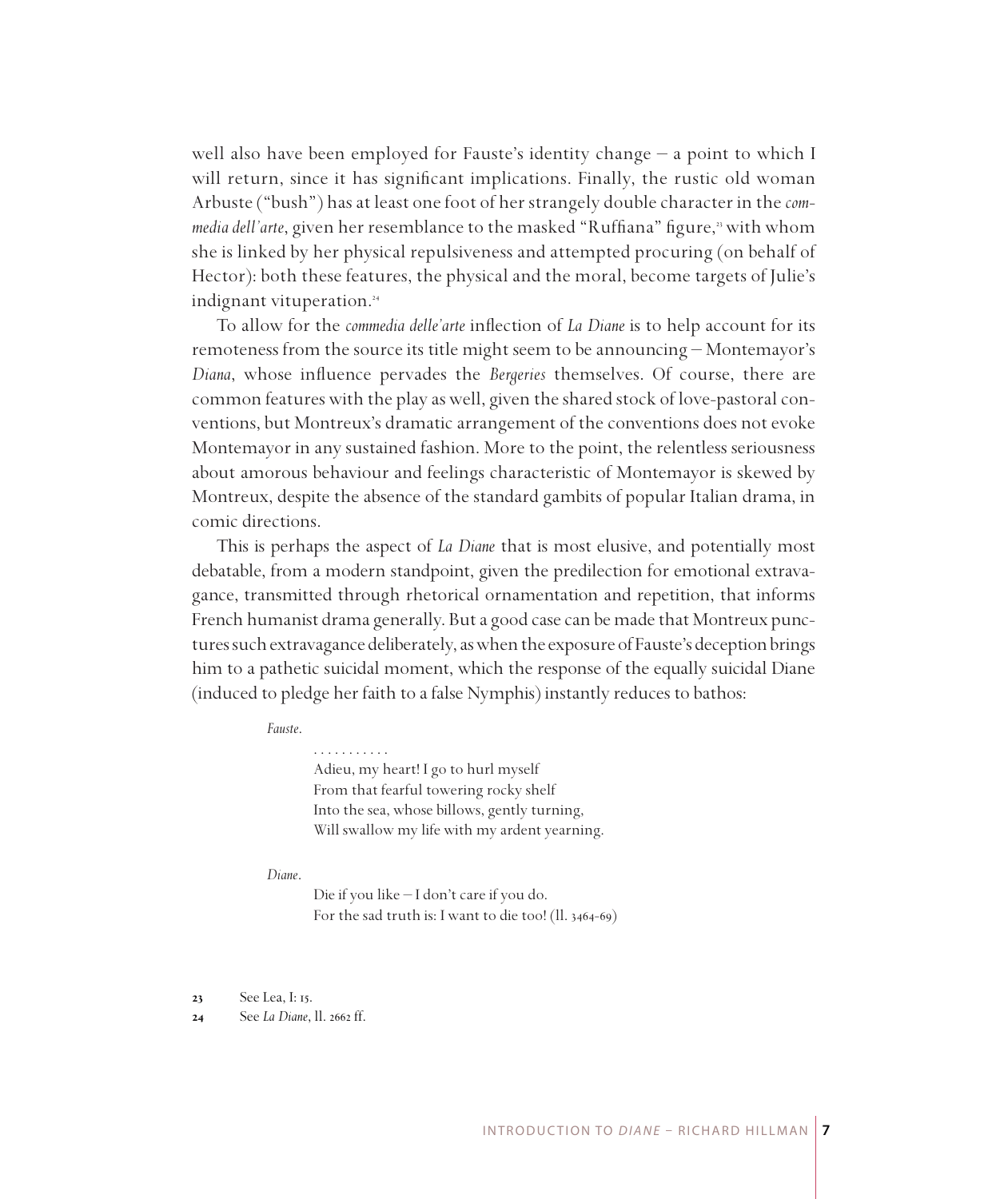well also have been employed for Fauste's identity change – a point to which I will return, since it has significant implications. Finally, the rustic old woman Arbuste ("bush") has at least one foot of her strangely double character in the *com*media dell'arte, given her resemblance to the masked "Ruffiana" figure,<sup>3</sup> with whom she is linked by her physical repulsiveness and attempted procuring (on behalf of Hector): both these features, the physical and the moral, become targets of Julie's indignant vituperation.

To allow for the *commedia delle'arte* inflection of *La Diane* is to help account for its remoteness from the source its title might seem to be announcing – Montemayor's *Diana*, whose influence pervades the *Bergeries* themselves. Of course, there are common features with the play as well, given the shared stock of love-pastoral conventions, but Montreux's dramatic arrangement of the conventions does not evoke Montemayor in any sustained fashion. More to the point, the relentless seriousness about amorous behaviour and feelings characteristic of Montemayor is skewed by Montreux, despite the absence of the standard gambits of popular Italian drama, in comic directions.

This is perhaps the aspect of *La Diane* that is most elusive, and potentially most debatable, from a modern standpoint, given the predilection for emotional extravagance, transmitted through rhetorical ornamentation and repetition, that informs French humanist drama generally. But a good case can be made that Montreux punctures such extravagance deliberately, as when the exposure of Fauste's deception brings him to a pathetic suicidal moment, which the response of the equally suicidal Diane (induced to pledge her faith to a false Nymphis) instantly reduces to bathos:

### *Fauste*.

. . . . . . . . . . . Adieu, my heart! I go to hurl myself From that fearful towering rocky shelf Into the sea, whose billows, gently turning, Will swallow my life with my ardent yearning.

### *Diane*.

Die if you like – I don't care if you do. For the sad truth is: I want to die too! (ll. 3464-69)

 See Lea, I: 15.

 See *La Diane*, ll. 2662 ff.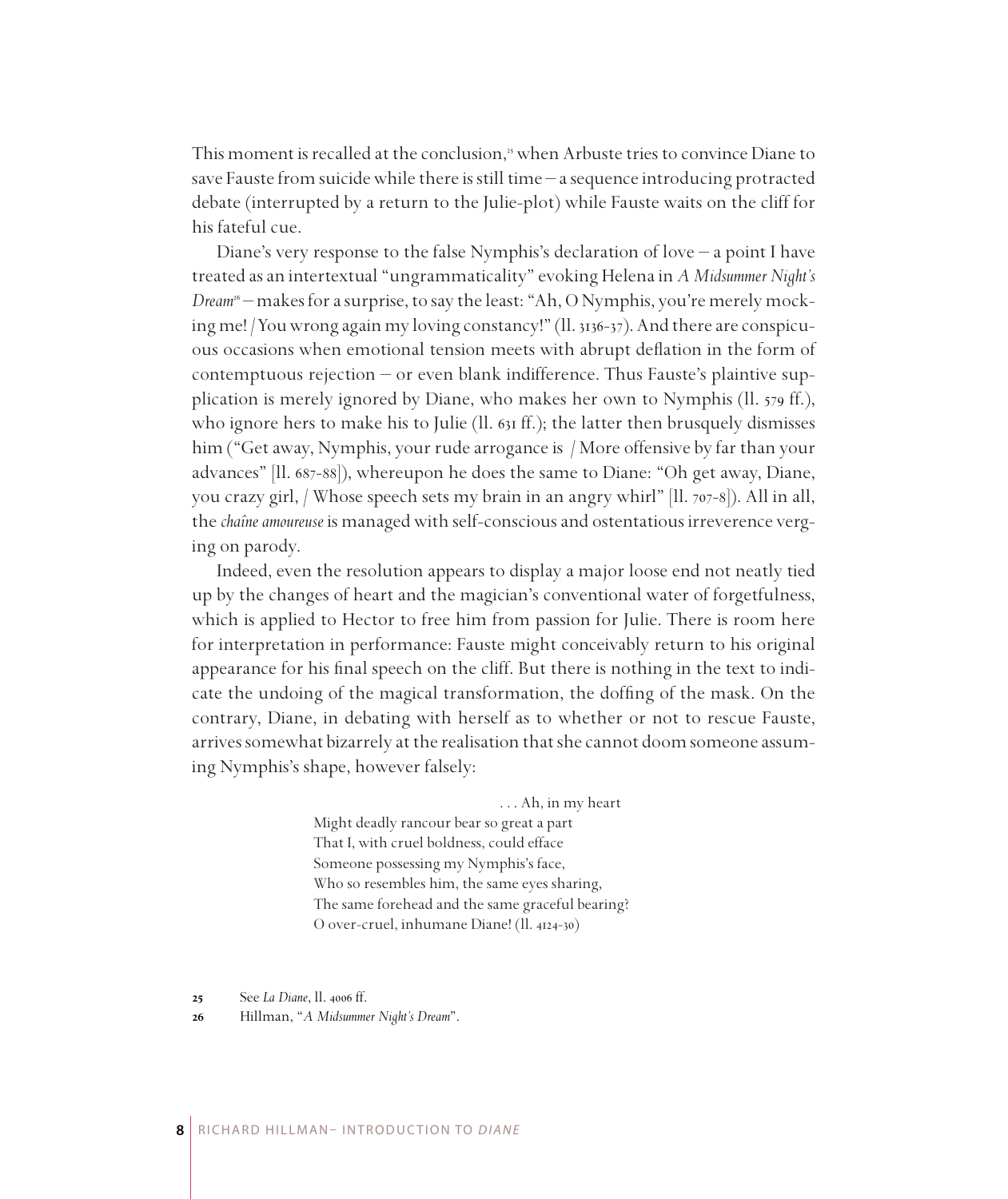This moment is recalled at the conclusion,<sup>35</sup> when Arbuste tries to convince Diane to save Fauste from suicide while there is still time – a sequence introducing protracted debate (interrupted by a return to the Julie-plot) while Fauste waits on the cliff for his fateful cue.

Diane's very response to the false Nymphis's declaration of love – a point I have treated as an intertextual "ungrammaticality" evoking Helena in *A Midsummer Night's Dream* – makes for a surprise, to say the least: "Ah, O Nymphis, you're merely mocking me! /You wrong again my loving constancy!" (ll. 3136-37). And there are conspicuous occasions when emotional tension meets with abrupt deflation in the form of contemptuous rejection – or even blank indifference. Thus Fauste's plaintive supplication is merely ignored by Diane, who makes her own to Nymphis (ll. 579 ff.), who ignore hers to make his to Julie (II.  $631$  ff.); the latter then brusquely dismisses him ("Get away, Nymphis, your rude arrogance is / More offensive by far than your advances" [ll. 687-88]), whereupon he does the same to Diane: "Oh get away, Diane, you crazy girl, / Whose speech sets my brain in an angry whirl" [ll. 707-8]). All in all, the *chaîne amoureuse* is managed with self-conscious and ostentatious irreverence verging on parody.

Indeed, even the resolution appears to display a major loose end not neatly tied up by the changes of heart and the magician's conventional water of forgetfulness, which is applied to Hector to free him from passion for Julie. There is room here for interpretation in performance: Fauste might conceivably return to his original appearance for his final speech on the cliff. But there is nothing in the text to indicate the undoing of the magical transformation, the doffing of the mask. On the contrary, Diane, in debating with herself as to whether or not to rescue Fauste, arrives somewhat bizarrely at the realisation that she cannot doom someone assuming Nymphis's shape, however falsely:

### . . . Ah, in my heart

Might deadly rancour bear so great a part That I, with cruel boldness, could efface Someone possessing my Nymphis's face, Who so resembles him, the same eyes sharing, The same forehead and the same graceful bearing? O over-cruel, inhumane Diane! (ll. 4124-30)

 See *La Diane*, ll. 4006 ff.

 Hillman, "*A Midsummer Night's Dream*".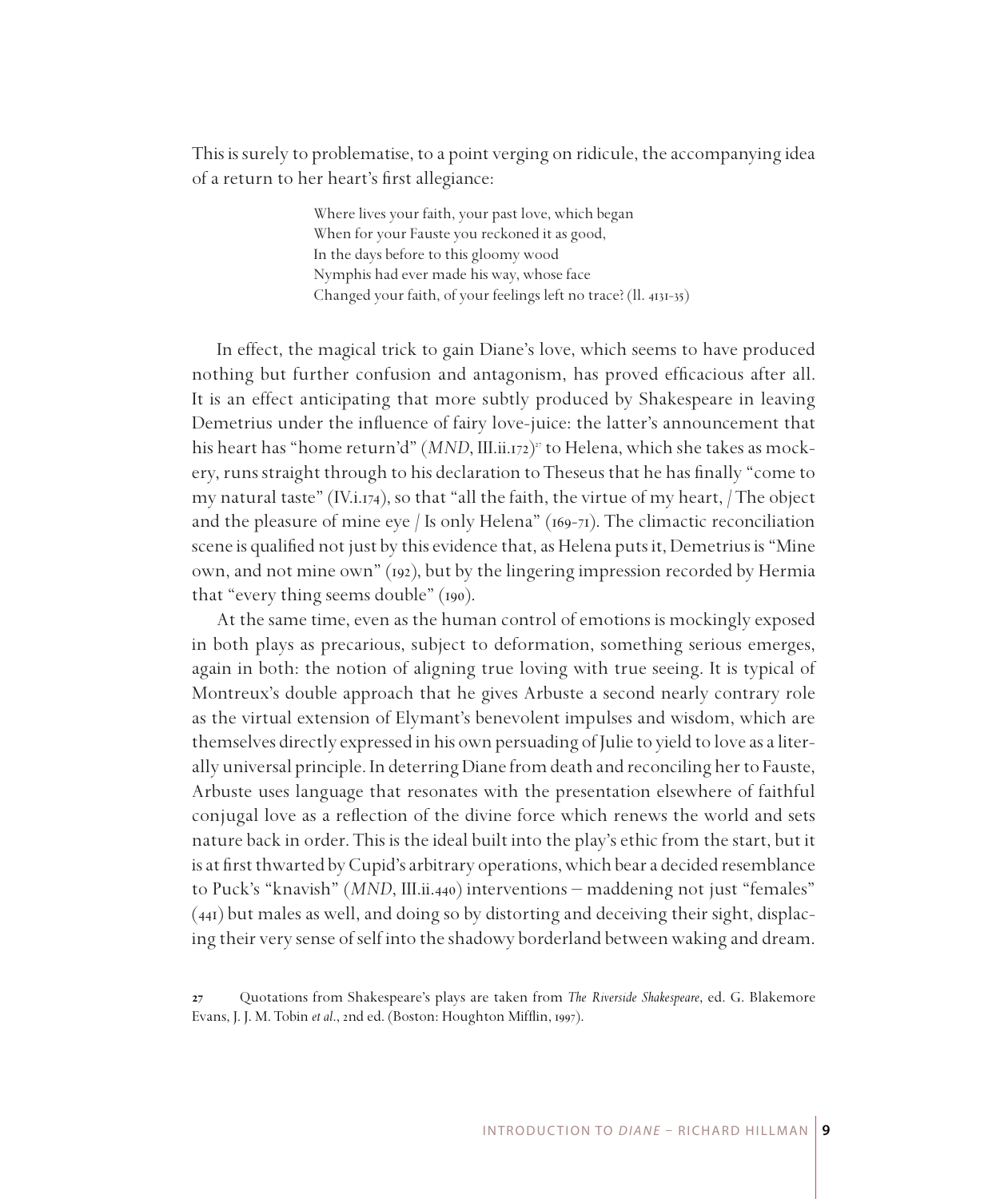This is surely to problematise, to a point verging on ridicule, the accompanying idea of a return to her heart's first allegiance:

> Where lives your faith, your past love, which began When for your Fauste you reckoned it as good, In the days before to this gloomy wood Nymphis had ever made his way, whose face Changed your faith, of your feelings left no trace? (ll. 4131-35)

In effect, the magical trick to gain Diane's love, which seems to have produced nothing but further confusion and antagonism, has proved efficacious after all. It is an effect anticipating that more subtly produced by Shakespeare in leaving Demetrius under the influence of fairy love-juice: the latter's announcement that his heart has "home return'd" (*MND*, III.ii.172) to Helena, which she takes as mockery, runs straight through to his declaration to Theseus that he has finally "come to my natural taste" (IV.i.174), so that "all the faith, the virtue of my heart,  $/$  The object and the pleasure of mine eye / Is only Helena"  $(169-71)$ . The climactic reconciliation scene is qualified not just by this evidence that, as Helena puts it, Demetrius is "Mine own, and not mine own" (192), but by the lingering impression recorded by Hermia that "every thing seems double" (190).

At the same time, even as the human control of emotions is mockingly exposed in both plays as precarious, subject to deformation, something serious emerges, again in both: the notion of aligning true loving with true seeing. It is typical of Montreux's double approach that he gives Arbuste a second nearly contrary role as the virtual extension of Elymant's benevolent impulses and wisdom, which are themselves directly expressed in his own persuading of Julie to yield to love as a literally universal principle. In deterring Diane from death and reconciling her to Fauste, Arbuste uses language that resonates with the presentation elsewhere of faithful conjugal love as a reflection of the divine force which renews the world and sets nature back in order. This is the ideal built into the play's ethic from the start, but it is at first thwarted by Cupid's arbitrary operations, which bear a decided resemblance to Puck's "knavish" (*MND*, III.ii.440) interventions – maddening not just "females" (441) but males as well, and doing so by distorting and deceiving their sight, displacing their very sense of self into the shadowy borderland between waking and dream.

Quotations from Shakespeare's plays are taken from *The Riverside Shakespeare*, ed. G. Blakemore Evans, J. J. M. Tobin *et al*., 2nd ed. (Boston: Houghton Mifflin, 1997).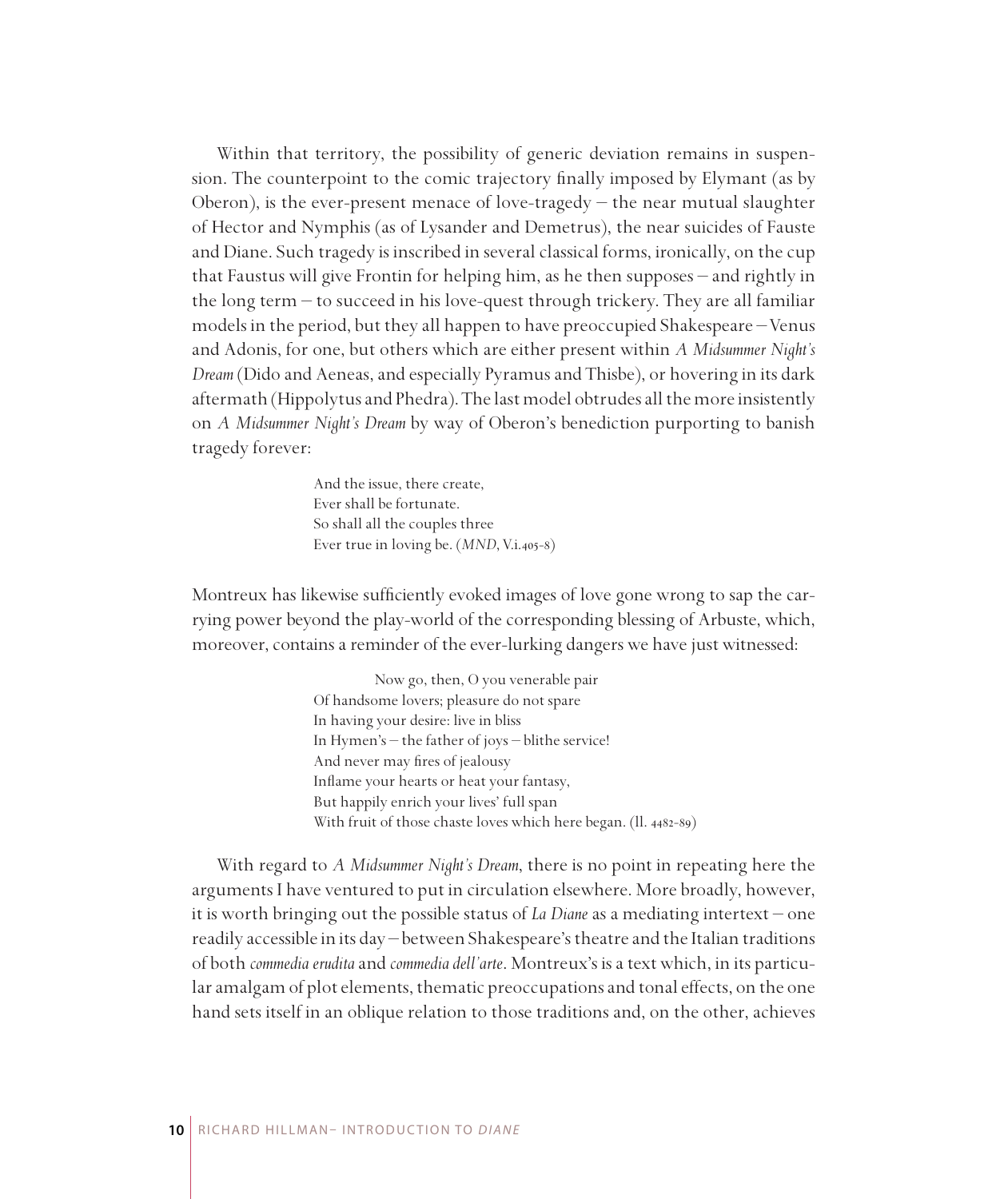Within that territory, the possibility of generic deviation remains in suspension. The counterpoint to the comic trajectory finally imposed by Elymant (as by Oberon), is the ever-present menace of love-tragedy  $-$  the near mutual slaughter of Hector and Nymphis (as of Lysander and Demetrus), the near suicides of Fauste and Diane. Such tragedy is inscribed in several classical forms, ironically, on the cup that Faustus will give Frontin for helping him, as he then supposes – and rightly in the long term – to succeed in his love-quest through trickery. They are all familiar models in the period, but they all happen to have preoccupied Shakespeare – Venus and Adonis, for one, but others which are either present within *A Midsummer Night's Dream* (Dido and Aeneas, and especially Pyramus and Thisbe), or hovering in its dark aftermath (Hippolytus and Phedra). The last model obtrudes all the more insistently on *A Midsummer Night's Dream* by way of Oberon's benediction purporting to banish tragedy forever:

> And the issue, there create, Ever shall be fortunate. So shall all the couples three Ever true in loving be. (*MND*, V.i.405-8)

Montreux has likewise sufficiently evoked images of love gone wrong to sap the carrying power beyond the play-world of the corresponding blessing of Arbuste, which, moreover, contains a reminder of the ever-lurking dangers we have just witnessed:

> Now go, then, O you venerable pair Of handsome lovers; pleasure do not spare In having your desire: live in bliss In Hymen's – the father of joys – blithe service! And never may fires of jealousy Inflame your hearts or heat your fantasy, But happily enrich your lives' full span With fruit of those chaste loves which here began. (ll. 4482-89)

With regard to *A Midsummer Night's Dream*, there is no point in repeating here the arguments I have ventured to put in circulation elsewhere. More broadly, however, it is worth bringing out the possible status of *La Diane* as a mediating intertext – one readily accessible in its day – between Shakespeare's theatre and the Italian traditions of both *commedia erudita* and *commedia dell'arte*. Montreux's is a text which, in its particular amalgam of plot elements, thematic preoccupations and tonal effects, on the one hand sets itself in an oblique relation to those traditions and, on the other, achieves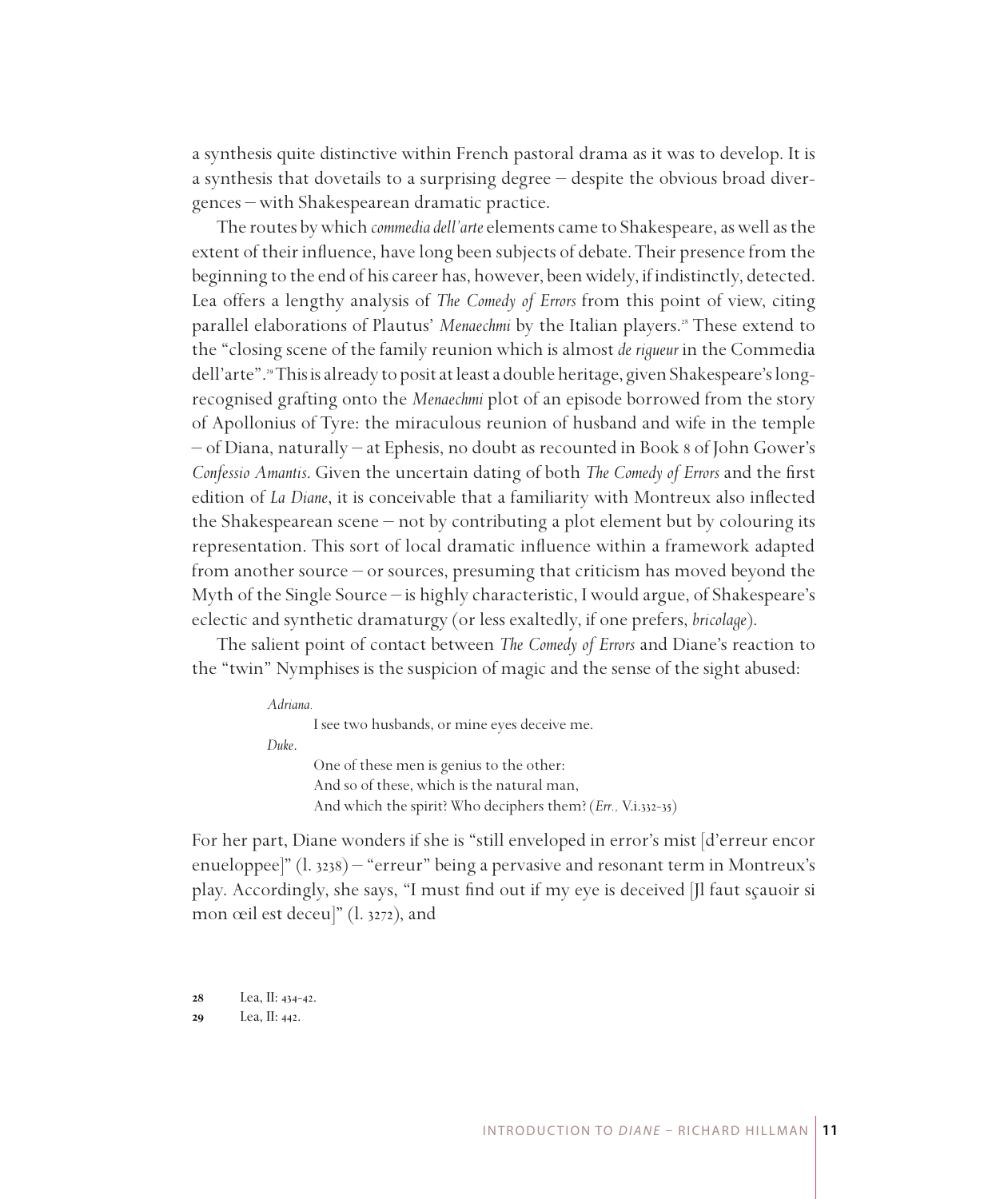a synthesis quite distinctive within French pastoral drama as it was to develop. It is a synthesis that dovetails to a surprising degree – despite the obvious broad divergences – with Shakespearean dramatic practice.

The routes by which *commedia dell'arte* elements came to Shakespeare, as well as the extent of their influence, have long been subjects of debate. Their presence from the beginning to the end of his career has, however, been widely, if indistinctly, detected. Lea offers a lengthy analysis of *The Comedy of Errors* from this point of view, citing parallel elaborations of Plautus' Menaechmi by the Italian players.<sup>28</sup> These extend to the "closing scene of the family reunion which is almost *de rigueur* in the Commedia dell'arte". This is already to posit at least a double heritage, given Shakespeare's longrecognised grafting onto the *Menaechmi* plot of an episode borrowed from the story of Apollonius of Tyre: the miraculous reunion of husband and wife in the temple – of Diana, naturally – at Ephesis, no doubt as recounted in Book 8 of John Gower's *Confessio Amantis*. Given the uncertain dating of both *The Comedy of Errors* and the first edition of *La Diane*, it is conceivable that a familiarity with Montreux also inflected the Shakespearean scene – not by contributing a plot element but by colouring its representation. This sort of local dramatic influence within a framework adapted from another source – or sources, presuming that criticism has moved beyond the Myth of the Single Source – is highly characteristic, I would argue, of Shakespeare's eclectic and synthetic dramaturgy (or less exaltedly, if one prefers, *bricolage*).

The salient point of contact between *The Comedy of Errors* and Diane's reaction to the "twin" Nymphises is the suspicion of magic and the sense of the sight abused:

| Adriana. |                                                              |
|----------|--------------------------------------------------------------|
|          | I see two husbands, or mine eyes deceive me.                 |
| Duke.    |                                                              |
|          | One of these men is genius to the other:                     |
|          | And so of these, which is the natural man,                   |
|          | And which the spirit? Who deciphers them? (Err., V.i.332-35) |

For her part, Diane wonders if she is "still enveloped in error's mist [d'erreur encor enueloppee]" (l. 3238) – "erreur" being a pervasive and resonant term in Montreux's play. Accordingly, she says, "I must find out if my eye is deceived [Jl faut sçauoir si mon œil est deceu]" (l. 3272), and

Lea, II: 442.

Lea, II: 434-42.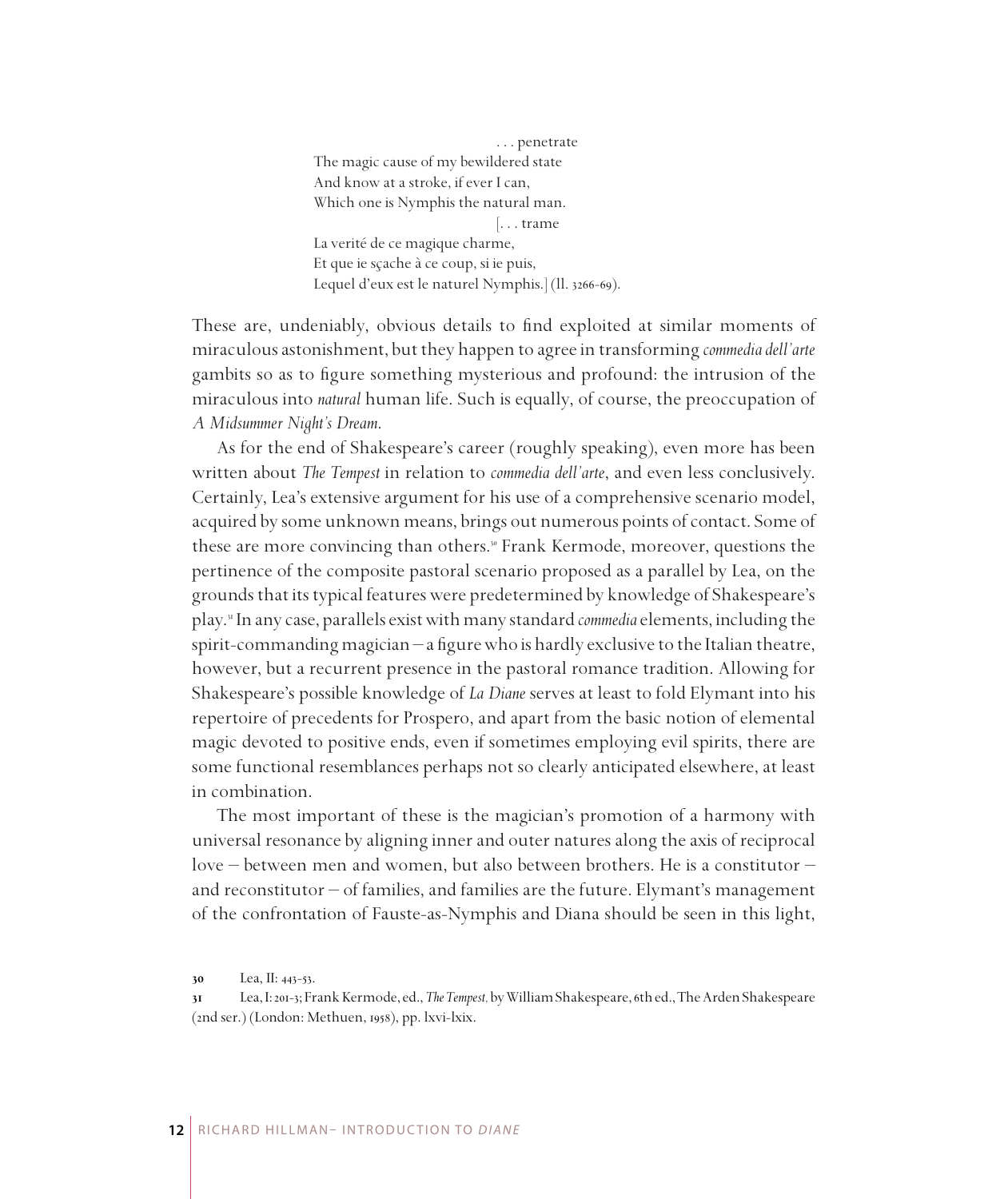. . . penetrate The magic cause of my bewildered state And know at a stroke, if ever I can, Which one is Nymphis the natural man. [. . . trame La verité de ce magique charme, Et que ie sçache à ce coup, si ie puis, Lequel d'eux est le naturel Nymphis.] (ll. 3266-69).

These are, undeniably, obvious details to find exploited at similar moments of miraculous astonishment, but they happen to agree in transforming *commedia dell'arte* gambits so as to figure something mysterious and profound: the intrusion of the miraculous into *natural* human life. Such is equally, of course, the preoccupation of *A Midsummer Night's Dream*.

As for the end of Shakespeare's career (roughly speaking), even more has been written about *The Tempest* in relation to *commedia dell'arte*, and even less conclusively. Certainly, Lea's extensive argument for his use of a comprehensive scenario model, acquired by some unknown means, brings out numerous points of contact. Some of these are more convincing than others.<sup>8</sup> Frank Kermode, moreover, questions the pertinence of the composite pastoral scenario proposed as a parallel by Lea, on the grounds that its typical features were predetermined by knowledge of Shakespeare's play. In any case, parallels exist with many standard *commedia* elements, including the spirit-commanding magician – a figure who is hardly exclusive to the Italian theatre, however, but a recurrent presence in the pastoral romance tradition. Allowing for Shakespeare's possible knowledge of *La Diane* serves at least to fold Elymant into his repertoire of precedents for Prospero, and apart from the basic notion of elemental magic devoted to positive ends, even if sometimes employing evil spirits, there are some functional resemblances perhaps not so clearly anticipated elsewhere, at least in combination.

The most important of these is the magician's promotion of a harmony with universal resonance by aligning inner and outer natures along the axis of reciprocal love – between men and women, but also between brothers. He is a constitutor – and reconstitutor – of families, and families are the future. Elymant's management of the confrontation of Fauste-as-Nymphis and Diana should be seen in this light,

Lea, II: 443-53.

Lea, I: 201-3; Frank Kermode, ed., *The Tempest,* by William Shakespeare, 6th ed., The Arden Shakespeare (2nd ser.) (London: Methuen, 1958), pp. lxvi-lxix.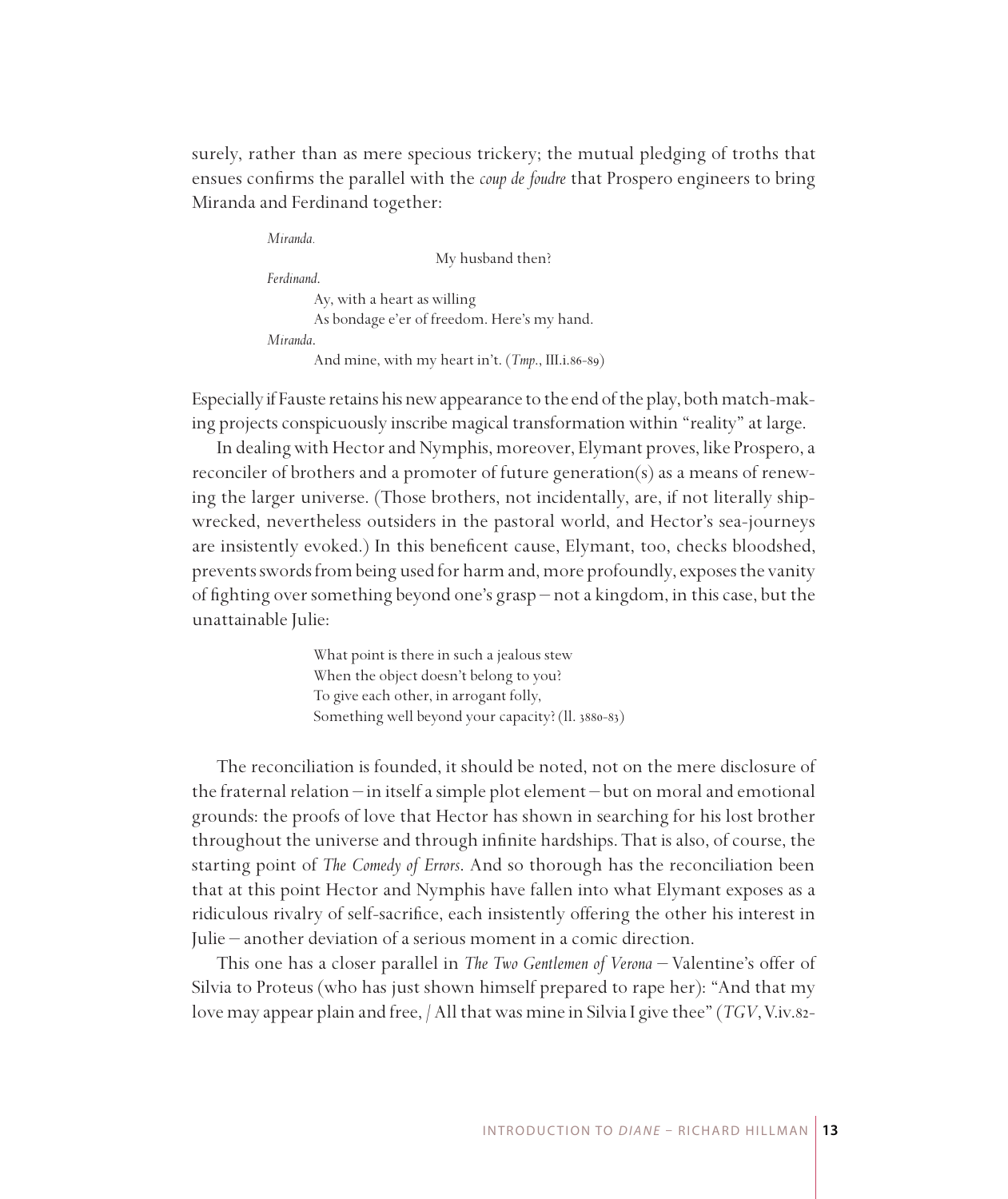surely, rather than as mere specious trickery; the mutual pledging of troths that ensues confirms the parallel with the *coup de foudre* that Prospero engineers to bring Miranda and Ferdinand together:

*Miranda.* My husband then? *Ferdinand*. Ay, with a heart as willing As bondage e'er of freedom. Here's my hand. *Miranda*. And mine, with my heart in't. (*Tmp*., III.i.86-89)

Especially if Fauste retains his new appearance to the end of the play, both match-making projects conspicuously inscribe magical transformation within "reality" at large.

In dealing with Hector and Nymphis, moreover, Elymant proves, like Prospero, a reconciler of brothers and a promoter of future generation(s) as a means of renewing the larger universe. (Those brothers, not incidentally, are, if not literally shipwrecked, nevertheless outsiders in the pastoral world, and Hector's sea-journeys are insistently evoked.) In this beneficent cause, Elymant, too, checks bloodshed, prevents swords from being used for harm and, more profoundly, exposes the vanity of fighting over something beyond one's grasp – not a kingdom, in this case, but the unattainable Julie:

> What point is there in such a jealous stew When the object doesn't belong to you? To give each other, in arrogant folly, Something well beyond your capacity? (ll. 3880-83)

The reconciliation is founded, it should be noted, not on the mere disclosure of the fraternal relation – in itself a simple plot element – but on moral and emotional grounds: the proofs of love that Hector has shown in searching for his lost brother throughout the universe and through infinite hardships. That is also, of course, the starting point of *The Comedy of Errors*. And so thorough has the reconciliation been that at this point Hector and Nymphis have fallen into what Elymant exposes as a ridiculous rivalry of self-sacrifice, each insistently offering the other his interest in Julie – another deviation of a serious moment in a comic direction.

This one has a closer parallel in *The Two Gentlemen of Verona* – Valentine's offer of Silvia to Proteus (who has just shown himself prepared to rape her): "And that my love may appear plain and free, / All that was mine in Silvia I give thee" (*TGV*, V.iv.82